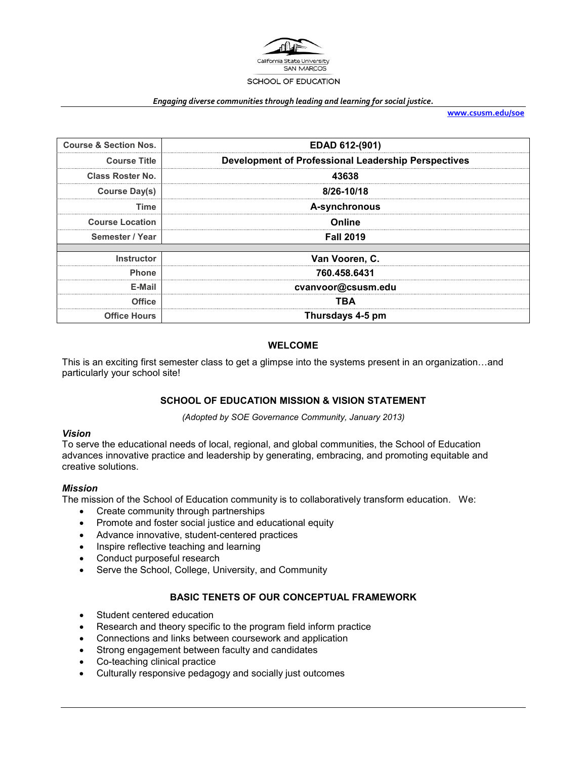

#### *Engaging diverse communities through leading and learning for social justice.*

**[www.csusm.edu/soe](http://www.csusm.edu/soe)**

| <b>Course &amp; Section Nos.</b> | EDAD 612-(901)                                      |
|----------------------------------|-----------------------------------------------------|
| <b>Course Title</b>              | Development of Professional Leadership Perspectives |
| <b>Class Roster No.</b>          | 43638                                               |
| <b>Course Day(s)</b>             | 8/26-10/18                                          |
| Time                             | A-synchronous                                       |
| <b>Course Location</b>           | Online                                              |
| Semester / Year                  | <b>Fall 2019</b>                                    |
|                                  |                                                     |
| Instructor                       | Van Vooren, C.                                      |
| <b>Phone</b>                     | 760.458.6431                                        |
| F-Mail                           | cvanvoor@csusm.edu                                  |
| Office                           | TBA                                                 |
| <b>Office Hours</b>              | Thursdays 4-5 pm                                    |

### **WELCOME**

This is an exciting first semester class to get a glimpse into the systems present in an organization…and particularly your school site!

## **SCHOOL OF EDUCATION MISSION & VISION STATEMENT**

*(Adopted by SOE Governance Community, January 2013)*

### *Vision*

To serve the educational needs of local, regional, and global communities, the School of Education advances innovative practice and leadership by generating, embracing, and promoting equitable and creative solutions.

### *Mission*

The mission of the School of Education community is to collaboratively transform education. We:

- Create community through partnerships
- Promote and foster social justice and educational equity
- Advance innovative, student-centered practices
- Inspire reflective teaching and learning
- Conduct purposeful research
- Serve the School, College, University, and Community

## **BASIC TENETS OF OUR CONCEPTUAL FRAMEWORK**

- Student centered education
- Research and theory specific to the program field inform practice
- Connections and links between coursework and application
- Strong engagement between faculty and candidates
- Co-teaching clinical practice
- Culturally responsive pedagogy and socially just outcomes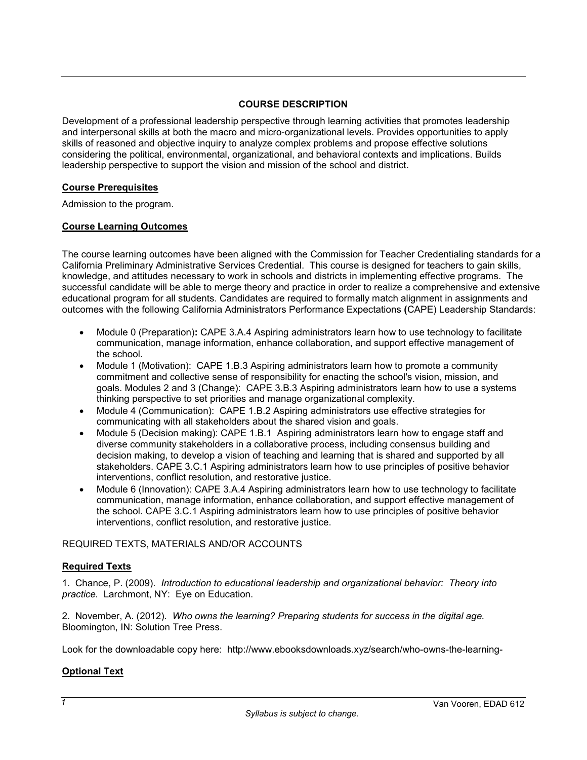### **COURSE DESCRIPTION**

Development of a professional leadership perspective through learning activities that promotes leadership and interpersonal skills at both the macro and micro-organizational levels. Provides opportunities to apply skills of reasoned and objective inquiry to analyze complex problems and propose effective solutions considering the political, environmental, organizational, and behavioral contexts and implications. Builds leadership perspective to support the vision and mission of the school and district.

## **Course Prerequisites**

Admission to the program.

### **Course Learning Outcomes**

The course learning outcomes have been aligned with the Commission for Teacher Credentialing standards for a California Preliminary Administrative Services Credential. This course is designed for teachers to gain skills, knowledge, and attitudes necessary to work in schools and districts in implementing effective programs. The successful candidate will be able to merge theory and practice in order to realize a comprehensive and extensive educational program for all students. Candidates are required to formally match alignment in assignments and outcomes with the following California Administrators Performance Expectations **(**CAPE) Leadership Standards:

- Module 0 (Preparation)**:** CAPE 3.A.4 Aspiring administrators learn how to use technology to facilitate communication, manage information, enhance collaboration, and support effective management of the school.
- Module 1 (Motivation): CAPE 1.B.3 Aspiring administrators learn how to promote a community commitment and collective sense of responsibility for enacting the school's vision, mission, and goals. Modules 2 and 3 (Change): CAPE 3.B.3 Aspiring administrators learn how to use a systems thinking perspective to set priorities and manage organizational complexity.
- Module 4 (Communication): CAPE 1.B.2 Aspiring administrators use effective strategies for communicating with all stakeholders about the shared vision and goals.
- Module 5 (Decision making): CAPE 1.B.1 Aspiring administrators learn how to engage staff and diverse community stakeholders in a collaborative process, including consensus building and decision making, to develop a vision of teaching and learning that is shared and supported by all stakeholders. CAPE 3.C.1 Aspiring administrators learn how to use principles of positive behavior interventions, conflict resolution, and restorative justice.
- Module 6 (Innovation): CAPE 3.A.4 Aspiring administrators learn how to use technology to facilitate communication, manage information, enhance collaboration, and support effective management of the school. CAPE 3.C.1 Aspiring administrators learn how to use principles of positive behavior interventions, conflict resolution, and restorative justice.

### REQUIRED TEXTS, MATERIALS AND/OR ACCOUNTS

### **Required Texts**

1. Chance, P. (2009). *Introduction to educational leadership and organizational behavior: Theory into practice.* Larchmont, NY: Eye on Education.

2. November, A. (2012). *Who owns the learning? Preparing students for success in the digital age.* Bloomington, IN: Solution Tree Press.

Look for the downloadable copy here: http://www.ebooksdownloads.xyz/search/who-owns-the-learning-

## **Optional Text**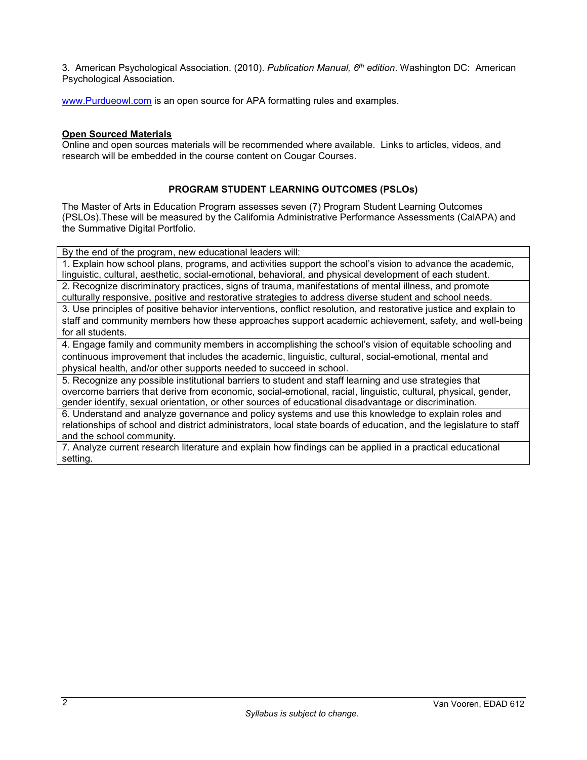3. American Psychological Association. (2010). *Publication Manual, 6th edition*. Washington DC: American Psychological Association.

[www.Purdueowl.com](http://www.purdueowl.com/) is an open source for APA formatting rules and examples.

### **Open Sourced Materials**

Online and open sources materials will be recommended where available. Links to articles, videos, and research will be embedded in the course content on Cougar Courses.

## **PROGRAM STUDENT LEARNING OUTCOMES (PSLOs)**

The Master of Arts in Education Program assesses seven (7) Program Student Learning Outcomes (PSLOs).These will be measured by the California Administrative Performance Assessments (CalAPA) and the Summative Digital Portfolio.

By the end of the program, new educational leaders will:

1. Explain how school plans, programs, and activities support the school's vision to advance the academic, linguistic, cultural, aesthetic, social-emotional, behavioral, and physical development of each student. 2. Recognize discriminatory practices, signs of trauma, manifestations of mental illness, and promote

culturally responsive, positive and restorative strategies to address diverse student and school needs. 3. Use principles of positive behavior interventions, conflict resolution, and restorative justice and explain to staff and community members how these approaches support academic achievement, safety, and well-being for all students.

4. Engage family and community members in accomplishing the school's vision of equitable schooling and continuous improvement that includes the academic, linguistic, cultural, social-emotional, mental and physical health, and/or other supports needed to succeed in school.

5. Recognize any possible institutional barriers to student and staff learning and use strategies that overcome barriers that derive from economic, social-emotional, racial, linguistic, cultural, physical, gender, gender identify, sexual orientation, or other sources of educational disadvantage or discrimination.

6. Understand and analyze governance and policy systems and use this knowledge to explain roles and relationships of school and district administrators, local state boards of education, and the legislature to staff and the school community.

7. Analyze current research literature and explain how findings can be applied in a practical educational setting.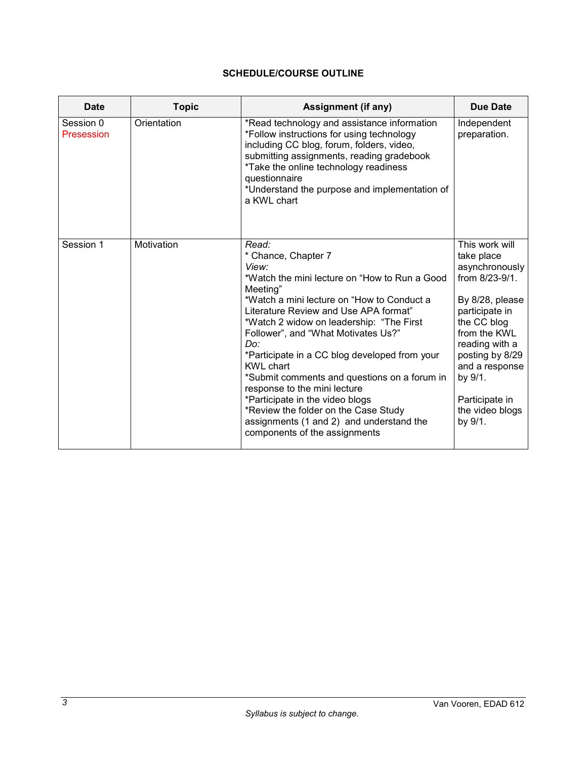# **SCHEDULE/COURSE OUTLINE**

| <b>Date</b>             | <b>Topic</b> | Assignment (if any)                                                                                                                                                                                                                                                                                                                                                                                                                                                                                                                                                                              | <b>Due Date</b>                                                                                                                                                                                                                                        |
|-------------------------|--------------|--------------------------------------------------------------------------------------------------------------------------------------------------------------------------------------------------------------------------------------------------------------------------------------------------------------------------------------------------------------------------------------------------------------------------------------------------------------------------------------------------------------------------------------------------------------------------------------------------|--------------------------------------------------------------------------------------------------------------------------------------------------------------------------------------------------------------------------------------------------------|
| Session 0<br>Presession | Orientation  | *Read technology and assistance information<br>*Follow instructions for using technology<br>including CC blog, forum, folders, video,<br>submitting assignments, reading gradebook<br>*Take the online technology readiness<br>questionnaire<br>*Understand the purpose and implementation of<br>a KWL chart                                                                                                                                                                                                                                                                                     | Independent<br>preparation.                                                                                                                                                                                                                            |
| Session 1               | Motivation   | Read:<br>* Chance, Chapter 7<br>View:<br>*Watch the mini lecture on "How to Run a Good<br>Meeting"<br>*Watch a mini lecture on "How to Conduct a<br>Literature Review and Use APA format"<br>*Watch 2 widow on leadership: "The First<br>Follower", and "What Motivates Us?"<br>Do:<br>*Participate in a CC blog developed from your<br><b>KWL</b> chart<br>*Submit comments and questions on a forum in<br>response to the mini lecture<br>*Participate in the video blogs<br>*Review the folder on the Case Study<br>assignments (1 and 2) and understand the<br>components of the assignments | This work will<br>take place<br>asynchronously<br>from 8/23-9/1.<br>By 8/28, please<br>participate in<br>the CC blog<br>from the KWL<br>reading with a<br>posting by 8/29<br>and a response<br>by 9/1.<br>Participate in<br>the video blogs<br>by 9/1. |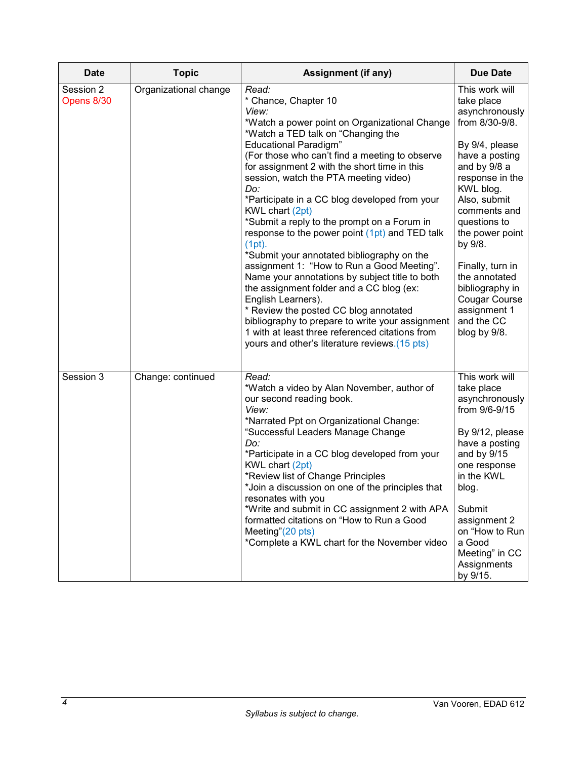| <b>Date</b>             | <b>Topic</b>          | <b>Assignment (if any)</b>                                                                                                                                                                                                                                                                                                                                                                                                                                                                                                                                                                                                                                                                                                                                                                                                                                                                                      | <b>Due Date</b>                                                                                                                                                                                                                                                                                                                                           |
|-------------------------|-----------------------|-----------------------------------------------------------------------------------------------------------------------------------------------------------------------------------------------------------------------------------------------------------------------------------------------------------------------------------------------------------------------------------------------------------------------------------------------------------------------------------------------------------------------------------------------------------------------------------------------------------------------------------------------------------------------------------------------------------------------------------------------------------------------------------------------------------------------------------------------------------------------------------------------------------------|-----------------------------------------------------------------------------------------------------------------------------------------------------------------------------------------------------------------------------------------------------------------------------------------------------------------------------------------------------------|
| Session 2<br>Opens 8/30 | Organizational change | Read:<br>* Chance, Chapter 10<br>View:<br>*Watch a power point on Organizational Change<br>*Watch a TED talk on "Changing the<br><b>Educational Paradigm"</b><br>(For those who can't find a meeting to observe<br>for assignment 2 with the short time in this<br>session, watch the PTA meeting video)<br>Do:<br>*Participate in a CC blog developed from your<br>KWL chart (2pt)<br>*Submit a reply to the prompt on a Forum in<br>response to the power point (1pt) and TED talk<br>(1pt).<br>*Submit your annotated bibliography on the<br>assignment 1: "How to Run a Good Meeting".<br>Name your annotations by subject title to both<br>the assignment folder and a CC blog (ex:<br>English Learners).<br>* Review the posted CC blog annotated<br>bibliography to prepare to write your assignment<br>1 with at least three referenced citations from<br>yours and other's literature reviews.(15 pts) | This work will<br>take place<br>asynchronously<br>from 8/30-9/8.<br>By 9/4, please<br>have a posting<br>and by 9/8 a<br>response in the<br>KWL blog.<br>Also, submit<br>comments and<br>questions to<br>the power point<br>by 9/8.<br>Finally, turn in<br>the annotated<br>bibliography in<br>Cougar Course<br>assignment 1<br>and the CC<br>blog by 9/8. |
| Session 3               | Change: continued     | Read:<br>*Watch a video by Alan November, author of<br>our second reading book.<br>View:<br>*Narrated Ppt on Organizational Change:<br>"Successful Leaders Manage Change<br>Do:<br>*Participate in a CC blog developed from your<br>KWL chart (2pt)<br>*Review list of Change Principles<br>*Join a discussion on one of the principles that<br>resonates with you<br>*Write and submit in CC assignment 2 with APA<br>formatted citations on "How to Run a Good<br>Meeting"(20 pts)<br>*Complete a KWL chart for the November video                                                                                                                                                                                                                                                                                                                                                                            | This work will<br>take place<br>asynchronously<br>from 9/6-9/15<br>By 9/12, please<br>have a posting<br>and by 9/15<br>one response<br>in the KWL<br>blog.<br>Submit<br>assignment 2<br>on "How to Run<br>a Good<br>Meeting" in CC<br>Assignments<br>by 9/15.                                                                                             |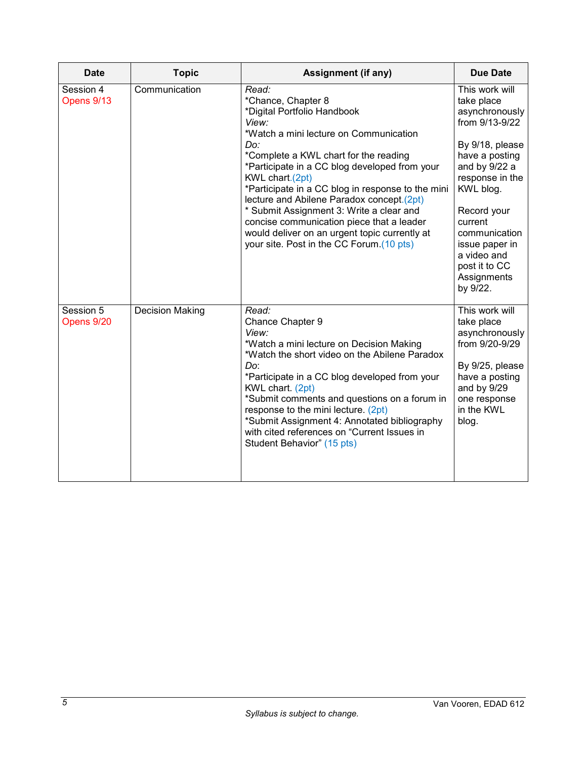| <b>Date</b>             | <b>Topic</b>    | Assignment (if any)                                                                                                                                                                                                                                                                                                                                                                                                                                                                                                       | <b>Due Date</b>                                                                                                                                                                                                                                                                |
|-------------------------|-----------------|---------------------------------------------------------------------------------------------------------------------------------------------------------------------------------------------------------------------------------------------------------------------------------------------------------------------------------------------------------------------------------------------------------------------------------------------------------------------------------------------------------------------------|--------------------------------------------------------------------------------------------------------------------------------------------------------------------------------------------------------------------------------------------------------------------------------|
| Session 4<br>Opens 9/13 | Communication   | Read:<br>*Chance, Chapter 8<br>*Digital Portfolio Handbook<br>View:<br>*Watch a mini lecture on Communication<br>Do:<br>*Complete a KWL chart for the reading<br>*Participate in a CC blog developed from your<br>KWL chart.(2pt)<br>*Participate in a CC blog in response to the mini<br>lecture and Abilene Paradox concept.(2pt)<br>* Submit Assignment 3: Write a clear and<br>concise communication piece that a leader<br>would deliver on an urgent topic currently at<br>your site. Post in the CC Forum.(10 pts) | This work will<br>take place<br>asynchronously<br>from 9/13-9/22<br>By 9/18, please<br>have a posting<br>and by 9/22 a<br>response in the<br>KWL blog.<br>Record your<br>current<br>communication<br>issue paper in<br>a video and<br>post it to CC<br>Assignments<br>by 9/22. |
| Session 5<br>Opens 9/20 | Decision Making | Read:<br>Chance Chapter 9<br>View:<br>*Watch a mini lecture on Decision Making<br>*Watch the short video on the Abilene Paradox<br>Do:<br>*Participate in a CC blog developed from your<br>KWL chart. (2pt)<br>*Submit comments and questions on a forum in<br>response to the mini lecture. (2pt)<br>*Submit Assignment 4: Annotated bibliography<br>with cited references on "Current Issues in<br>Student Behavior" (15 pts)                                                                                           | This work will<br>take place<br>asynchronously<br>from 9/20-9/29<br>By 9/25, please<br>have a posting<br>and by 9/29<br>one response<br>in the KWL<br>blog.                                                                                                                    |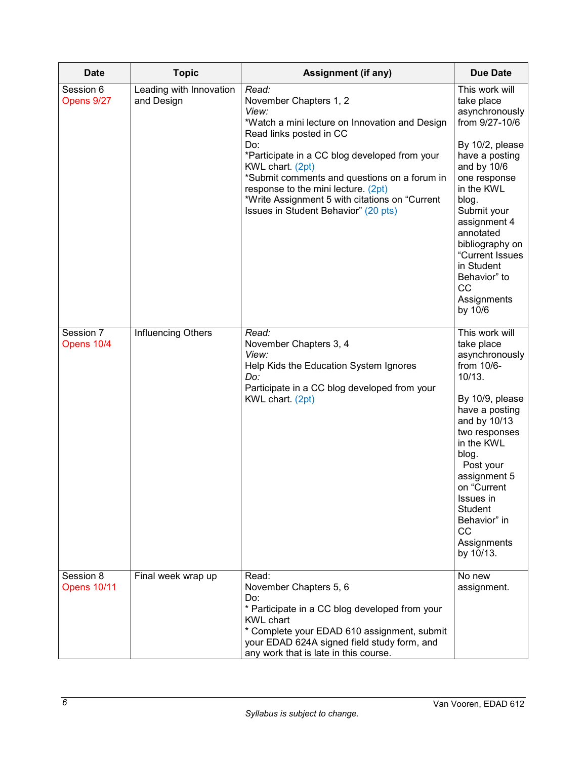| <b>Date</b>                     | <b>Topic</b>                          | <b>Assignment (if any)</b>                                                                                                                                                                                                                                                                                                                                                         | <b>Due Date</b>                                                                                                                                                                                                                                                                                             |
|---------------------------------|---------------------------------------|------------------------------------------------------------------------------------------------------------------------------------------------------------------------------------------------------------------------------------------------------------------------------------------------------------------------------------------------------------------------------------|-------------------------------------------------------------------------------------------------------------------------------------------------------------------------------------------------------------------------------------------------------------------------------------------------------------|
| Session 6<br>Opens 9/27         | Leading with Innovation<br>and Design | Read:<br>November Chapters 1, 2<br>View:<br>*Watch a mini lecture on Innovation and Design<br>Read links posted in CC<br>Do:<br>*Participate in a CC blog developed from your<br>KWL chart. (2pt)<br>*Submit comments and questions on a forum in<br>response to the mini lecture. (2pt)<br>*Write Assignment 5 with citations on "Current<br>Issues in Student Behavior" (20 pts) | This work will<br>take place<br>asynchronously<br>from 9/27-10/6<br>By 10/2, please<br>have a posting<br>and by 10/6<br>one response<br>in the KWL<br>blog.<br>Submit your<br>assignment 4<br>annotated<br>bibliography on<br>"Current Issues<br>in Student<br>Behavior" to<br>CC<br>Assignments<br>by 10/6 |
| Session 7<br>Opens 10/4         | Influencing Others                    | Read:<br>November Chapters 3, 4<br>View:<br>Help Kids the Education System Ignores<br>Do:<br>Participate in a CC blog developed from your<br>KWL chart. (2pt)                                                                                                                                                                                                                      | This work will<br>take place<br>asynchronously<br>from 10/6-<br>10/13.<br>By 10/9, please<br>have a posting<br>and by 10/13<br>two responses<br>in the KWL<br>blog.<br>Post your<br>assignment 5<br>on "Current<br>Issues in<br>Student<br>Behavior" in<br>CC<br>Assignments<br>by 10/13.                   |
| Session 8<br><b>Opens 10/11</b> | Final week wrap up                    | Read:<br>November Chapters 5, 6<br>Do:<br>* Participate in a CC blog developed from your<br><b>KWL chart</b><br>* Complete your EDAD 610 assignment, submit<br>your EDAD 624A signed field study form, and<br>any work that is late in this course.                                                                                                                                | No new<br>assignment.                                                                                                                                                                                                                                                                                       |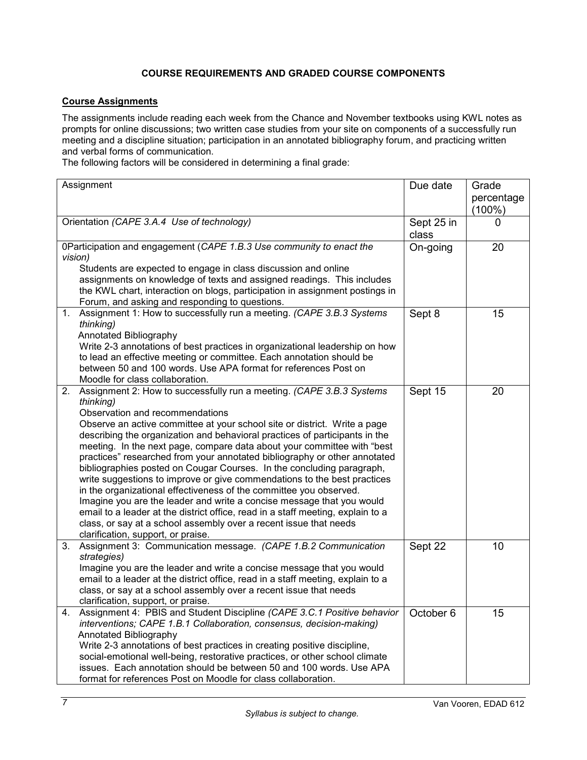# **COURSE REQUIREMENTS AND GRADED COURSE COMPONENTS**

## **Course Assignments**

The assignments include reading each week from the Chance and November textbooks using KWL notes as prompts for online discussions; two written case studies from your site on components of a successfully run meeting and a discipline situation; participation in an annotated bibliography forum, and practicing written and verbal forms of communication.

The following factors will be considered in determining a final grade:

| Assignment        |                                                                                                                                                          | Due date            | Grade                   |
|-------------------|----------------------------------------------------------------------------------------------------------------------------------------------------------|---------------------|-------------------------|
|                   |                                                                                                                                                          |                     | percentage<br>$(100\%)$ |
|                   | Orientation (CAPE 3.A.4 Use of technology)                                                                                                               | Sept 25 in<br>class | 0                       |
|                   | 0Participation and engagement (CAPE 1.B.3 Use community to enact the                                                                                     | On-going            | 20                      |
| vision)           |                                                                                                                                                          |                     |                         |
|                   | Students are expected to engage in class discussion and online                                                                                           |                     |                         |
|                   | assignments on knowledge of texts and assigned readings. This includes                                                                                   |                     |                         |
|                   | the KWL chart, interaction on blogs, participation in assignment postings in                                                                             |                     |                         |
|                   | Forum, and asking and responding to questions.<br>1. Assignment 1: How to successfully run a meeting. (CAPE 3.B.3 Systems                                | Sept 8              | 15                      |
| thinking)         |                                                                                                                                                          |                     |                         |
|                   | Annotated Bibliography                                                                                                                                   |                     |                         |
|                   | Write 2-3 annotations of best practices in organizational leadership on how                                                                              |                     |                         |
|                   | to lead an effective meeting or committee. Each annotation should be                                                                                     |                     |                         |
|                   | between 50 and 100 words. Use APA format for references Post on                                                                                          |                     |                         |
|                   | Moodle for class collaboration.                                                                                                                          |                     |                         |
| 2.                | Assignment 2: How to successfully run a meeting. (CAPE 3.B.3 Systems                                                                                     | Sept 15             | 20                      |
| thinking)         |                                                                                                                                                          |                     |                         |
|                   | Observation and recommendations                                                                                                                          |                     |                         |
|                   | Observe an active committee at your school site or district. Write a page<br>describing the organization and behavioral practices of participants in the |                     |                         |
|                   | meeting. In the next page, compare data about your committee with "best                                                                                  |                     |                         |
|                   | practices" researched from your annotated bibliography or other annotated                                                                                |                     |                         |
|                   | bibliographies posted on Cougar Courses. In the concluding paragraph,                                                                                    |                     |                         |
|                   | write suggestions to improve or give commendations to the best practices                                                                                 |                     |                         |
|                   | in the organizational effectiveness of the committee you observed.                                                                                       |                     |                         |
|                   | Imagine you are the leader and write a concise message that you would                                                                                    |                     |                         |
|                   | email to a leader at the district office, read in a staff meeting, explain to a                                                                          |                     |                         |
|                   | class, or say at a school assembly over a recent issue that needs                                                                                        |                     |                         |
|                   | clarification, support, or praise.                                                                                                                       |                     |                         |
| 3.<br>strategies) | Assignment 3: Communication message. (CAPE 1.B.2 Communication                                                                                           | Sept 22             | 10                      |
|                   | Imagine you are the leader and write a concise message that you would                                                                                    |                     |                         |
|                   | email to a leader at the district office, read in a staff meeting, explain to a                                                                          |                     |                         |
|                   | class, or say at a school assembly over a recent issue that needs                                                                                        |                     |                         |
|                   | clarification, support, or praise.                                                                                                                       |                     |                         |
|                   | 4. Assignment 4: PBIS and Student Discipline (CAPE 3.C.1 Positive behavior                                                                               | October 6           | 15                      |
|                   | interventions; CAPE 1.B.1 Collaboration, consensus, decision-making)                                                                                     |                     |                         |
|                   | Annotated Bibliography                                                                                                                                   |                     |                         |
|                   | Write 2-3 annotations of best practices in creating positive discipline,                                                                                 |                     |                         |
|                   | social-emotional well-being, restorative practices, or other school climate                                                                              |                     |                         |
|                   | issues. Each annotation should be between 50 and 100 words. Use APA                                                                                      |                     |                         |
|                   | format for references Post on Moodle for class collaboration.                                                                                            |                     |                         |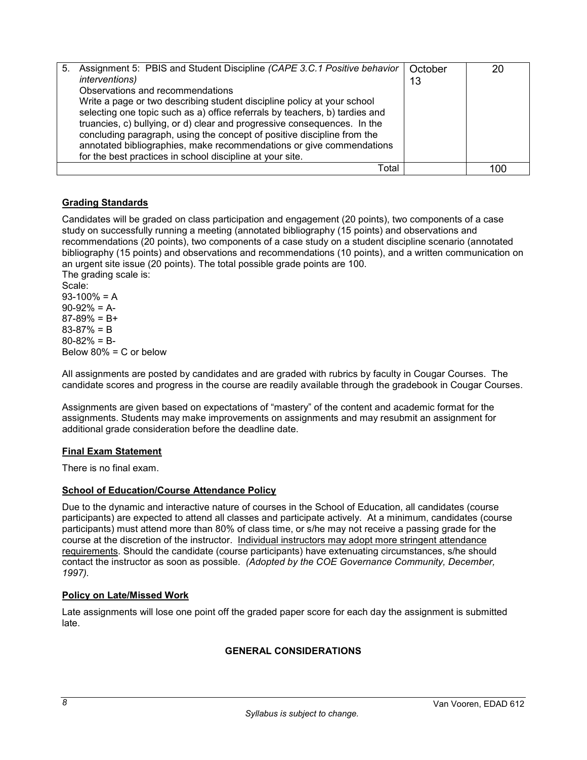| 5. | Assignment 5: PBIS and Student Discipline (CAPE 3.C.1 Positive behavior<br><i>interventions</i> )<br>Observations and recommendations<br>Write a page or two describing student discipline policy at your school<br>selecting one topic such as a) office referrals by teachers, b) tardies and<br>truancies, c) bullying, or d) clear and progressive consequences. In the<br>concluding paragraph, using the concept of positive discipline from the<br>annotated bibliographies, make recommendations or give commendations<br>for the best practices in school discipline at your site. | October<br>13 | 20  |
|----|---------------------------------------------------------------------------------------------------------------------------------------------------------------------------------------------------------------------------------------------------------------------------------------------------------------------------------------------------------------------------------------------------------------------------------------------------------------------------------------------------------------------------------------------------------------------------------------------|---------------|-----|
|    | Total                                                                                                                                                                                                                                                                                                                                                                                                                                                                                                                                                                                       |               | IOC |

## **Grading Standards**

Candidates will be graded on class participation and engagement (20 points), two components of a case study on successfully running a meeting (annotated bibliography (15 points) and observations and recommendations (20 points), two components of a case study on a student discipline scenario (annotated bibliography (15 points) and observations and recommendations (10 points), and a written communication on an urgent site issue (20 points). The total possible grade points are 100. The grading scale is:

Scale:  $93-100% = A$  $90-92% = A$ - $87-89% = B+$ 83-87% = B  $80 - 82\% = B$ Below 80% = C or below

All assignments are posted by candidates and are graded with rubrics by faculty in Cougar Courses. The candidate scores and progress in the course are readily available through the gradebook in Cougar Courses.

Assignments are given based on expectations of "mastery" of the content and academic format for the assignments. Students may make improvements on assignments and may resubmit an assignment for additional grade consideration before the deadline date.

## **Final Exam Statement**

There is no final exam.

### **School of Education/Course Attendance Policy**

Due to the dynamic and interactive nature of courses in the School of Education, all candidates (course participants) are expected to attend all classes and participate actively. At a minimum, candidates (course participants) must attend more than 80% of class time, or s/he may not receive a passing grade for the course at the discretion of the instructor. Individual instructors may adopt more stringent attendance requirements. Should the candidate (course participants) have extenuating circumstances, s/he should contact the instructor as soon as possible. *(Adopted by the COE Governance Community, December, 1997).*

### **Policy on Late/Missed Work**

Late assignments will lose one point off the graded paper score for each day the assignment is submitted late.

## **GENERAL CONSIDERATIONS**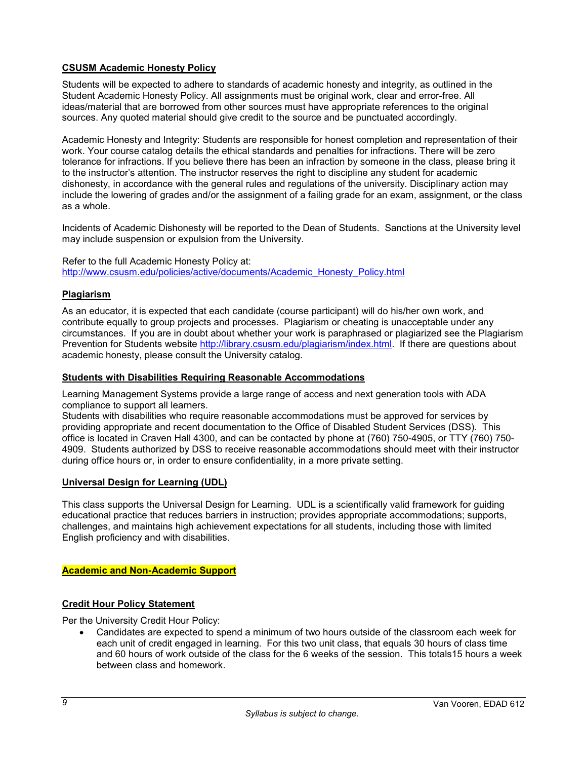## **CSUSM Academic Honesty Policy**

Students will be expected to adhere to standards of academic honesty and integrity, as outlined in the Student Academic Honesty Policy. All assignments must be original work, clear and error-free. All ideas/material that are borrowed from other sources must have appropriate references to the original sources. Any quoted material should give credit to the source and be punctuated accordingly.

Academic Honesty and Integrity: Students are responsible for honest completion and representation of their work. Your course catalog details the ethical standards and penalties for infractions. There will be zero tolerance for infractions. If you believe there has been an infraction by someone in the class, please bring it to the instructor's attention. The instructor reserves the right to discipline any student for academic dishonesty, in accordance with the general rules and regulations of the university. Disciplinary action may include the lowering of grades and/or the assignment of a failing grade for an exam, assignment, or the class as a whole.

Incidents of Academic Dishonesty will be reported to the Dean of Students. Sanctions at the University level may include suspension or expulsion from the University.

Refer to the full Academic Honesty Policy at: [http://www.csusm.edu/policies/active/documents/Academic\\_Honesty\\_Policy.html](http://www.csusm.edu/policies/active/documents/Academic_Honesty_Policy.html)

### **Plagiarism**

As an educator, it is expected that each candidate (course participant) will do his/her own work, and contribute equally to group projects and processes. Plagiarism or cheating is unacceptable under any circumstances. If you are in doubt about whether your work is paraphrased or plagiarized see the Plagiarism Prevention for Students website [http://library.csusm.edu/plagiarism/index.html.](http://library.csusm.edu/plagiarism/index.html) If there are questions about academic honesty, please consult the University catalog.

### **Students with Disabilities Requiring Reasonable Accommodations**

Learning Management Systems provide a large range of access and next generation tools with ADA compliance to support all learners.

Students with disabilities who require reasonable accommodations must be approved for services by providing appropriate and recent documentation to the Office of Disabled Student Services (DSS). This office is located in Craven Hall 4300, and can be contacted by phone at (760) 750-4905, or TTY (760) 750- 4909. Students authorized by DSS to receive reasonable accommodations should meet with their instructor during office hours or, in order to ensure confidentiality, in a more private setting.

### **Universal Design for Learning (UDL)**

This class supports the Universal Design for Learning. UDL is a scientifically valid framework for guiding educational practice that reduces barriers in instruction; provides appropriate accommodations; supports, challenges, and maintains high achievement expectations for all students, including those with limited English proficiency and with disabilities.

### **Academic and Non-Academic Support**

## **Credit Hour Policy Statement**

Per the University Credit Hour Policy:

• Candidates are expected to spend a minimum of two hours outside of the classroom each week for each unit of credit engaged in learning. For this two unit class, that equals 30 hours of class time and 60 hours of work outside of the class for the 6 weeks of the session. This totals15 hours a week between class and homework.